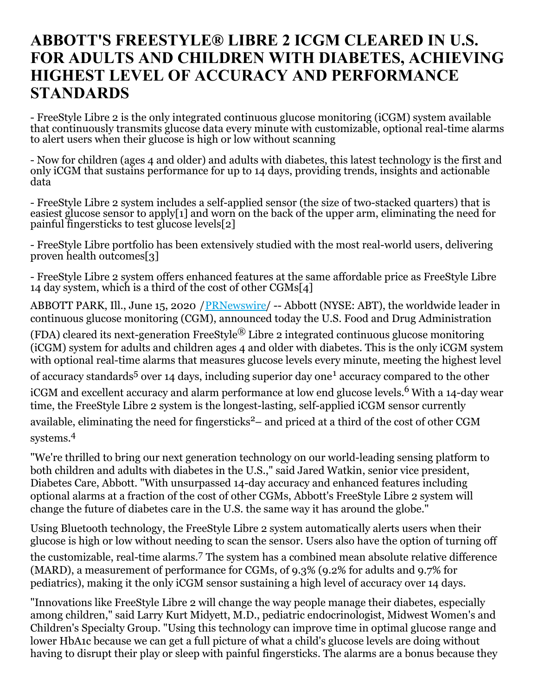## **ABBOTT'S FREESTYLE® LIBRE 2 ICGM CLEARED IN U.S. FOR ADULTS AND CHILDREN WITH DIABETES, ACHIEVING HIGHEST LEVEL OF ACCURACY AND PERFORMANCE STANDARDS**

- FreeStyle Libre 2 is the only integrated continuous glucose monitoring (iCGM) system available that continuously transmits glucose data every minute with customizable, optional real-time alarms to alert users when their glucose is high or low without scanning

- Now for children (ages 4 and older) and adults with diabetes, this latest technology is the first and only iCGM that sustains performance for up to 14 days, providing trends, insights and actionable data

- FreeStyle Libre 2 system includes a self-applied sensor (the size of two-stacked quarters) that is easiest glucose sensor to apply[1] and worn on the back of the upper arm, eliminating the need for painful fingersticks to test glucose levels[2]

- FreeStyle Libre portfolio has been extensively studied with the most real-world users, delivering proven health outcomes[3]

- FreeStyle Libre 2 system offers enhanced features at the same affordable price as FreeStyle Libre 14 day system, which is a third of the cost of other CGMs[4]

ABBOTT PARK, Ill., June 15, 2020 / [PRNewswire](http://www.prnewswire.com/)/ -- Abbott (NYSE: ABT), the worldwide leader in continuous glucose monitoring (CGM), announced today the U.S. Food and Drug Administration

(FDA) cleared its next-generation FreeStyle<sup>®</sup> Libre 2 integrated continuous glucose monitoring (iCGM) system for adults and children ages 4 and older with diabetes. This is the only iCGM system with optional real-time alarms that measures glucose levels every minute, meeting the highest level

of accuracy standards<sup>5</sup> over 14 days, including superior day one<sup>1</sup> accuracy compared to the other iCGM and excellent accuracy and alarm performance at low end glucose levels. <sup>6</sup> With a 14-day wear time, the FreeStyle Libre 2 system is the longest-lasting, self-applied iCGM sensor currently available, eliminating the need for fingersticks <sup>2</sup>– and priced at a third of the cost of other CGM systems. 4

"We're thrilled to bring our next generation technology on our world-leading sensing platform to both children and adults with diabetes in the U.S.," said Jared Watkin, senior vice president, Diabetes Care, Abbott. "With unsurpassed 14-day accuracy and enhanced features including optional alarms at a fraction of the cost of other CGMs, Abbott's FreeStyle Libre 2 system will change the future of diabetes care in the U.S. the same way it has around the globe."

Using Bluetooth technology, the FreeStyle Libre 2 system automatically alerts users when their glucose is high or low without needing to scan the sensor. Users also have the option of turning off the customizable, real-time alarms. <sup>7</sup> The system has a combined mean absolute relative difference (MARD), a measurement of performance for CGMs, of 9.3% (9.2% for adults and 9.7% for pediatrics), making it the only iCGM sensor sustaining a high level of accuracy over 14 days.

"Innovations like FreeStyle Libre 2 will change the way people manage their diabetes, especially among children," said Larry Kurt Midyett, M.D., pediatric endocrinologist, Midwest Women's and Children's Specialty Group. "Using this technology can improve time in optimal glucose range and lower HbA1c because we can get a full picture of what a child's glucose levels are doing without having to disrupt their play or sleep with painful fingersticks. The alarms are a bonus because they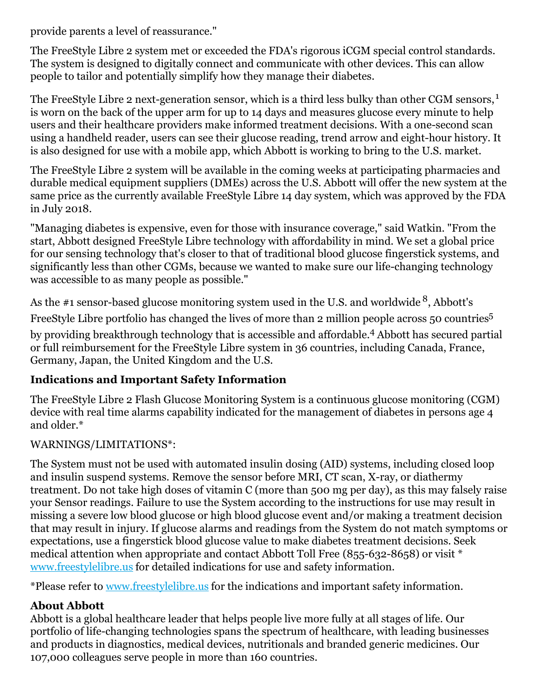provide parents a level of reassurance."

The FreeStyle Libre 2 system met or exceeded the FDA's rigorous iCGM special control standards. The system is designed to digitally connect and communicate with other devices. This can allow people to tailor and potentially simplify how they manage their diabetes.

The FreeStyle Libre 2 next-generation sensor, which is a third less bulky than other CGM sensors,<sup>1</sup> is worn on the back of the upper arm for up to 14 days and measures glucose every minute to help users and their healthcare providers make informed treatment decisions. With a one-second scan using a handheld reader, users can see their glucose reading, trend arrow and eight-hour history. It is also designed for use with a mobile app, which Abbott is working to bring to the U.S. market.

The FreeStyle Libre 2 system will be available in the coming weeks at participating pharmacies and durable medical equipment suppliers (DMEs) across the U.S. Abbott will offer the new system at the same price as the currently available FreeStyle Libre 14 day system, which was approved by the FDA in July 2018.

"Managing diabetes is expensive, even for those with insurance coverage," said Watkin. "From the start, Abbott designed FreeStyle Libre technology with affordability in mind. We set a global price for our sensing technology that's closer to that of traditional blood glucose fingerstick systems, and significantly less than other CGMs, because we wanted to make sure our life-changing technology was accessible to as many people as possible."

As the #1 sensor-based glucose monitoring system used in the U.S. and worldwide  $^8$ , Abbott's

FreeStyle Libre portfolio has changed the lives of more than 2 million people across 50 countries<sup>5</sup>

by providing breakthrough technology that is accessible and affordable. <sup>4</sup> Abbott has secured partial or full reimbursement for the FreeStyle Libre system in 36 countries, including Canada, France, Germany, Japan, the United Kingdom and the U.S.

## **Indications and Important Safety Information**

The FreeStyle Libre 2 Flash Glucose Monitoring System is a continuous glucose monitoring (CGM) device with real time alarms capability indicated for the management of diabetes in persons age 4 and older.\*

## WARNINGS/LIMITATIONS\*:

The System must not be used with automated insulin dosing (AID) systems, including closed loop and insulin suspend systems. Remove the sensor before MRI, CT scan, X-ray, or diathermy treatment. Do not take high doses of vitamin C (more than 500 mg per day), as this may falsely raise your Sensor readings. Failure to use the System according to the instructions for use may result in missing a severe low blood glucose or high blood glucose event and/or making a treatment decision that may result in injury. If glucose alarms and readings from the System do not match symptoms or expectations, use a fingerstick blood glucose value to make diabetes treatment decisions. Seek medical attention when appropriate and contact Abbott Toll Free (855-632-8658) or visit \* [www.freestylelibre.us](https://c212.net/c/link/?t=0&l=en&o=2827292-1&h=859043117&u=http%3A%2F%2Fwww.freestylelibre.us%2F&a=www.freestylelibre.us) for detailed indications for use and safety information.

\*Please refer to [www.freestylelibre.us](https://c212.net/c/link/?t=0&l=en&o=2827292-1&h=859043117&u=http%3A%2F%2Fwww.freestylelibre.us%2F&a=www.freestylelibre.us) for the indications and important safety information.

## **About Abbott**

Abbott is a global healthcare leader that helps people live more fully at all stages of life. Our portfolio of life-changing technologies spans the spectrum of healthcare, with leading businesses and products in diagnostics, medical devices, nutritionals and branded generic medicines. Our 107,000 colleagues serve people in more than 160 countries.